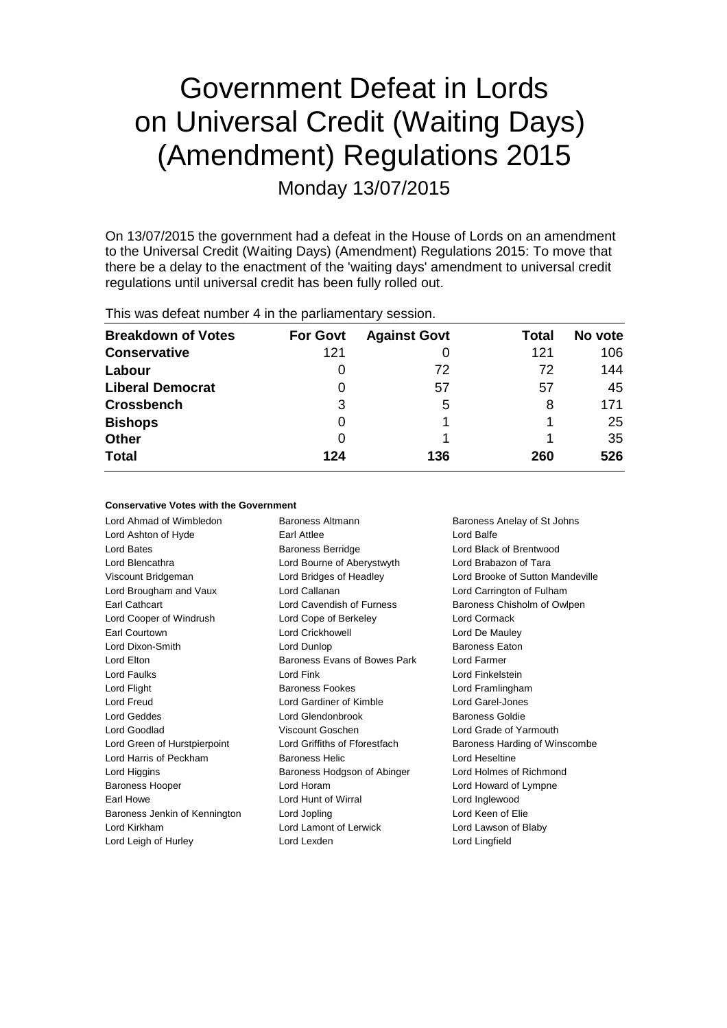# Government Defeat in Lords on Universal Credit (Waiting Days) (Amendment) Regulations 2015 Monday 13/07/2015

On 13/07/2015 the government had a defeat in the House of Lords on an amendment to the Universal Credit (Waiting Days) (Amendment) Regulations 2015: To move that there be a delay to the enactment of the 'waiting days' amendment to universal credit regulations until universal credit has been fully rolled out.

This was defeat number 4 in the parliamentary session.

| <b>Breakdown of Votes</b> | <b>For Govt</b> | <b>Against Govt</b> | Total | No vote |
|---------------------------|-----------------|---------------------|-------|---------|
| <b>Conservative</b>       | 121             |                     | 121   | 106     |
| Labour                    | 0               | 72                  | 72    | 144     |
| <b>Liberal Democrat</b>   | 0               | 57                  | 57    | 45      |
| <b>Crossbench</b>         | 3               | 5                   | 8     | 171     |
| <b>Bishops</b>            | 0               |                     |       | 25      |
| Other                     | 0               |                     |       | 35      |
| <b>Total</b>              | 124             | 136                 | 260   | 526     |

## **Conservative Votes with the Government**

| Lord Ahmad of Wimbledon       | Baroness Altmann<br>Baroness Anelay of St Johns |                                  |  |
|-------------------------------|-------------------------------------------------|----------------------------------|--|
| Lord Ashton of Hyde           | Earl Attlee                                     | Lord Balfe                       |  |
| Lord Bates                    | <b>Baroness Berridge</b>                        | Lord Black of Brentwood          |  |
| Lord Blencathra               | Lord Bourne of Aberystwyth                      | Lord Brabazon of Tara            |  |
| Viscount Bridgeman            | Lord Bridges of Headley                         | Lord Brooke of Sutton Mandeville |  |
| Lord Brougham and Vaux        | Lord Callanan                                   | Lord Carrington of Fulham        |  |
| Earl Cathcart                 | Lord Cavendish of Furness                       | Baroness Chisholm of Owlpen      |  |
| Lord Cooper of Windrush       | Lord Cope of Berkeley                           | Lord Cormack                     |  |
| Earl Courtown                 | <b>Lord Crickhowell</b>                         | Lord De Mauley                   |  |
| Lord Dixon-Smith              | Lord Dunlop                                     | <b>Baroness Eaton</b>            |  |
| Lord Elton                    | Baroness Evans of Bowes Park                    | Lord Farmer                      |  |
| Lord Faulks                   | Lord Fink                                       | Lord Finkelstein                 |  |
| Lord Flight                   | <b>Baroness Fookes</b>                          | Lord Framlingham                 |  |
| Lord Freud                    | Lord Gardiner of Kimble                         | Lord Garel-Jones                 |  |
| Lord Geddes                   | Lord Glendonbrook                               | Baroness Goldie                  |  |
| Lord Goodlad                  | Viscount Goschen                                | Lord Grade of Yarmouth           |  |
| Lord Green of Hurstpierpoint  | Lord Griffiths of Fforestfach                   | Baroness Harding of Winscombe    |  |
| Lord Harris of Peckham        | <b>Baroness Helic</b>                           | Lord Heseltine                   |  |
| Lord Higgins                  | Baroness Hodgson of Abinger                     | Lord Holmes of Richmond          |  |
| <b>Baroness Hooper</b>        | Lord Horam                                      | Lord Howard of Lympne            |  |
| Earl Howe                     | Lord Hunt of Wirral                             | Lord Inglewood                   |  |
| Baroness Jenkin of Kennington | Lord Jopling                                    | Lord Keen of Elie                |  |
| Lord Kirkham                  | Lord Lamont of Lerwick                          | Lord Lawson of Blaby             |  |
| Lord Leigh of Hurley          | Lord Lexden                                     | Lord Lingfield                   |  |
|                               |                                                 |                                  |  |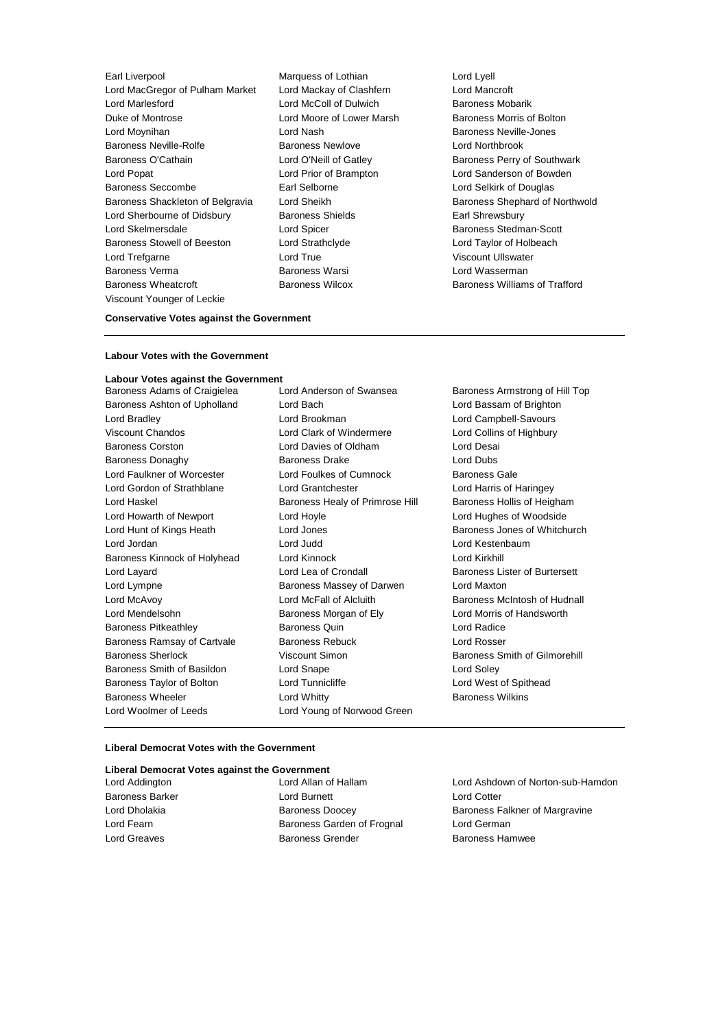Earl Liverpool **Earl Liverpool** Marquess of Lothian **Lord Lyell**<br>
Lord MacGregor of Pulham Market Lord Mackay of Clashfern **Lord Mancroft** Lord MacGregor of Pulham Market Lord Mackay of Clashfern Lord Marlesford Lord McColl of Dulwich Baroness Mobarik Duke of Montrose Lord Moore of Lower Marsh Baroness Morris of Bolton Lord Moynihan Lord Nash Baroness Neville-Jones Baroness Neville-Rolfe **Baroness Newlove Baroness Newlove** Lord Northbrook Baroness O'Cathain **Lord O'Neill of Gatley** Baroness Perry of Southwark Lord Popat Lord Prior of Brampton Lord Sanderson of Bowden Baroness Seccombe Earl Selborne Lord Selkirk of Douglas Baroness Shackleton of Belgravia Lord Sheikh Baroness Shephard of Northwold Lord Sherbourne of Didsbury Baroness Shields Earl Shrewsbury Lord Skelmersdale Lord Spicer Baroness Stedman-Scott Baroness Stowell of Beeston Lord Strathclyde Lord Taylor of Holbeach Lord Trefgarne **Lord True** Lord True Viscount Ullswater Baroness Verma **Baroness Warsi** Baroness Warsi Lord Wasserman Baroness Wheatcroft Baroness Wilcox Baroness Williams of Trafford Viscount Younger of Leckie

## **Conservative Votes against the Government**

## **Labour Votes with the Government**

**Labour Votes against the Government** Baroness Adams of Craigielea Lord Anderson of Swansea Baroness Armstrong of Hill Top Baroness Ashton of Upholland Lord Bach Lord Bassam of Brighton Lord Bradley Lord Brookman Lord Campbell-Savours Viscount Chandos Lord Clark of Windermere Lord Collins of Highbury Baroness Corston Lord Davies of Oldham Lord Desai Baroness Donaghy Baroness Drake Lord Dubs Lord Faulkner of Worcester Lord Foulkes of Cumnock Baroness Gale Lord Gordon of Strathblane Lord Grantchester Lord Harris of Haringey Lord Haskel **Baroness Healy of Primrose Hill** Baroness Hollis of Heigham Lord Howarth of Newport Lord Hoyle Lord Hughes of Woodside Lord Hunt of Kings Heath Lord Jones **Baroness Jones of Whitchurch** Baroness Jones of Whitchurch Lord Jordan Lord Judd Lord Kestenbaum Baroness Kinnock of Holyhead Lord Kinnock Lord Kirkhill Lord Layard **Lord Lea of Crondall** Baroness Lister of Burtersett Lord Lympne Baroness Massey of Darwen Lord Maxton Lord McAvoy **Lord McFall of Alcluith Baroness McIntosh of Hudnall** Baroness McIntosh of Hudnall Lord Mendelsohn Baroness Morgan of Ely Lord Morris of Handsworth Baroness Pitkeathley Baroness Quin Lord Radice Baroness Ramsay of Cartvale Baroness Rebuck Lord Rosser Baroness Sherlock **Viscount Simon** Baroness Smith of Gilmorehill Baroness Smith of Basildon Lord Snape Lord Soley Baroness Taylor of Bolton Lord Tunnicliffe Lord West of Spithead Baroness Wheeler Lord Whitty Baroness Wilkins Lord Woolmer of Leeds **Lord Young of Norwood Green** 

## **Liberal Democrat Votes with the Government**

#### **Liberal Democrat Votes against the Government**

| Lord Addington         | Lord Allan of Hallam       | Lord Ashdown of Norton-sub-Hamdon |
|------------------------|----------------------------|-----------------------------------|
| <b>Baroness Barker</b> | Lord Burnett               | Lord Cotter                       |
| Lord Dholakia          | <b>Baroness Doocey</b>     | Baroness Falkner of Margravine    |
| Lord Fearn             | Baroness Garden of Frognal | Lord German                       |
| Lord Greaves           | <b>Baroness Grender</b>    | <b>Baroness Hamwee</b>            |